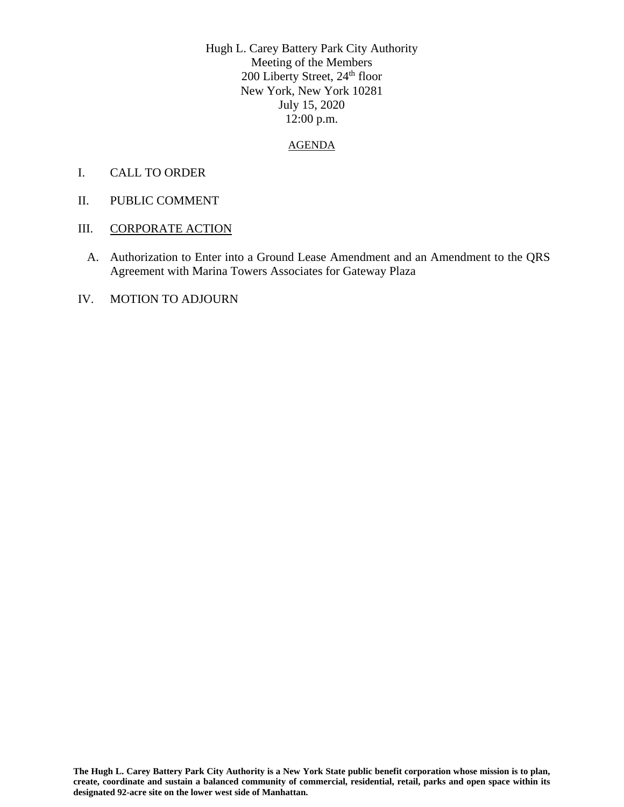Hugh L. Carey Battery Park City Authority Meeting of the Members 200 Liberty Street, 24<sup>th</sup> floor New York, New York 10281 July 15, 2020 12:00 p.m.

## AGENDA

- I. CALL TO ORDER
- II. PUBLIC COMMENT
- III. CORPORATE ACTION
	- A. Authorization to Enter into a Ground Lease Amendment and an Amendment to the QRS Agreement with Marina Towers Associates for Gateway Plaza
- IV. MOTION TO ADJOURN